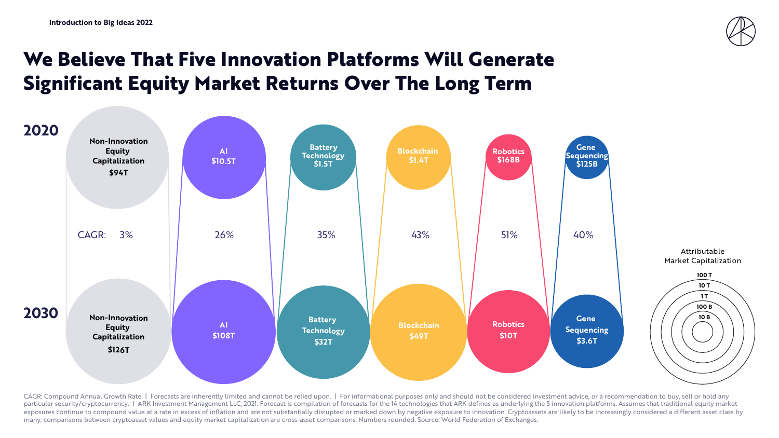

## **We Believe That Five Innovation Platforms Will Generate Significant Equity Market Returns Over The Long Term**



CAGR: Compound Annual Growth Rate | Forecasts are inherently limited and cannot be relied upon. | For informational purposes only and should not be considered investment advice, or a recommendation to buy, sell or hold any particular security/cryptocurrency. | ARK Investment Management LLC, 2021. Forecast is compilation of forecasts for the 14 technologies that ARK defines as underlying the 5 innovation platforms. Assumes that traditional eq exposures continue to compound value at a rate in excess of inflation and are not substantially disrupted or marked down by negative exposure to innovation. Cryptoassets are likely to be increasingly considered a different many; comparisons between cryptoasset values and equity market capitalization are cross-asset comparisons. Numbers rounded. Source: World Federation of Exchanges.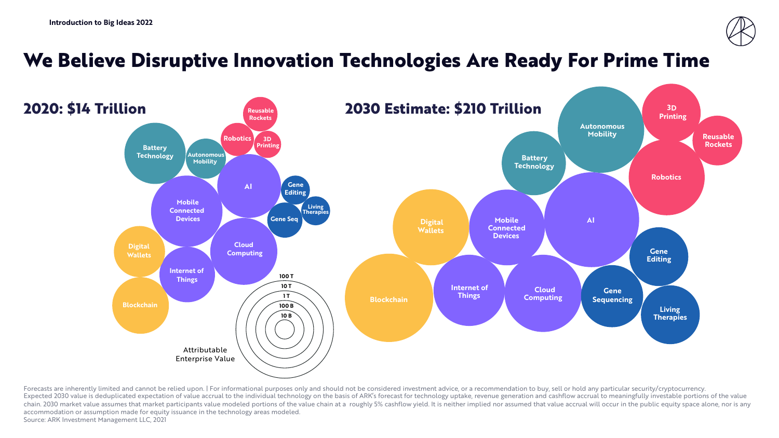

## **We Believe Disruptive Innovation Technologies Are Ready For Prime Time**



Forecasts are inherently limited and cannot be relied upon. | For informational purposes only and should not be considered investment advice, or a recommendation to buy, sell or hold any particular security/cryptocurrency. Expected 2030 value is deduplicated expectation of value accrual to the individual technology on the basis of ARK's forecast for technology uptake, revenue generation and cashflow accrual to meaningfully investable portion chain. 2030 market value assumes that market participants value modeled portions of the value chain at a roughly 5% cashflow yield. It is neither implied nor assumed that value accrual will occur in the public equity space accommodation or assumption made for equity issuance in the technology areas modeled. Source: ARK Investment Management LLC, 2021